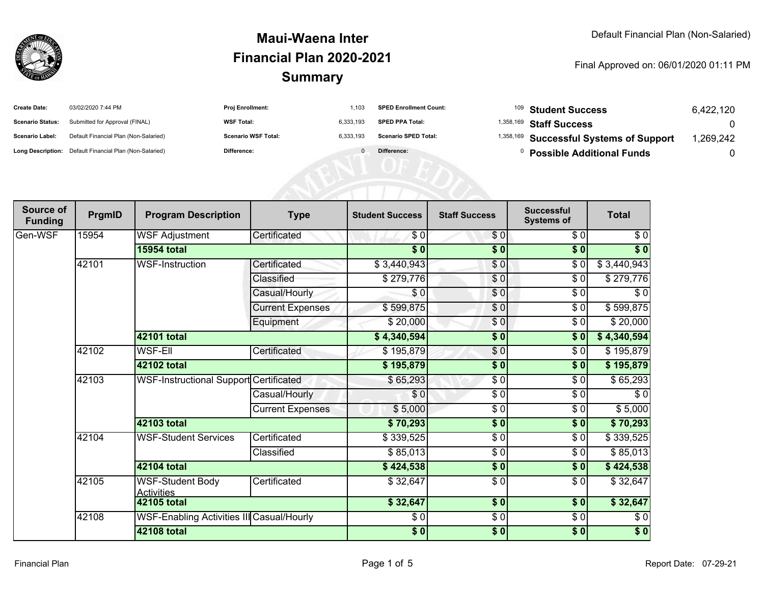

| <b>Create Date:</b>     | 03/02/2020 7:44 PM                                      | <b>Proj Enrollment:</b>    | 1.103     | <b>SPED Enrollment Count:</b> | <sup>109</sup> Student Success          | 6.422.120 |
|-------------------------|---------------------------------------------------------|----------------------------|-----------|-------------------------------|-----------------------------------------|-----------|
| <b>Scenario Status:</b> | Submitted for Approval (FINAL)                          | <b>WSF Total:</b>          | 6.333.193 | <b>SPED PPA Total:</b>        | <sup>1,358,169</sup> Staff Success      |           |
| <b>Scenario Label:</b>  | Default Financial Plan (Non-Salaried)                   | <b>Scenario WSF Total:</b> | 6.333.193 | <b>Scenario SPED Total:</b>   | 1,358,169 Successful Systems of Support | ,269,242  |
|                         | Long Description: Default Financial Plan (Non-Salaried) | Difference:                |           | Difference:                   | <b>Possible Additional Funds</b>        |           |

| Source of<br><b>Funding</b> | PrgmID | <b>Program Description</b>                   | <b>Type</b>             | <b>Student Success</b> | <b>Staff Success</b> | <b>Successful</b><br><b>Systems of</b> | <b>Total</b> |
|-----------------------------|--------|----------------------------------------------|-------------------------|------------------------|----------------------|----------------------------------------|--------------|
| Gen-WSF                     | 15954  | <b>WSF Adjustment</b>                        | Certificated            | \$0                    | \$0]                 | \$0                                    | \$0          |
|                             |        | <b>15954 total</b>                           |                         | $\overline{\$0}$       | $\sqrt{6}$           | \$0                                    | \$0          |
|                             | 42101  | <b>WSF-Instruction</b>                       | Certificated            | \$3,440,943            | $\frac{6}{3}$        | \$0                                    | \$3,440,943  |
|                             |        |                                              | Classified              | \$279,776              | \$0                  | \$0                                    | \$279,776    |
|                             |        |                                              | Casual/Hourly           | \$0                    | \$0                  | \$0                                    | \$0          |
|                             |        |                                              | <b>Current Expenses</b> | \$599,875              | $\frac{6}{6}$        | $\sqrt{6}$                             | \$599,875    |
|                             |        |                                              | Equipment               | \$20,000               | \$0                  | \$0                                    | \$20,000     |
|                             |        | <b>42101 total</b>                           |                         | \$4,340,594]           | $\sqrt{6}$           | \$0                                    | \$4,340,594  |
|                             | 42102  | <b>WSF-EII</b>                               | Certificated            | \$195,879              | $\frac{6}{3}$        | $\sqrt{6}$                             | \$195,879    |
|                             |        | 42102 total                                  |                         | \$195,879              | \$0                  | \$0                                    | \$195,879    |
|                             | 42103  | WSF-Instructional Support Certificated       |                         | \$65,293               | \$0                  | \$0                                    | \$65,293     |
|                             |        |                                              | Casual/Hourly           | \$0                    | \$0                  | $\sqrt{6}$                             | $\sqrt{6}$   |
|                             |        |                                              | <b>Current Expenses</b> | \$5,000                | \$ 0                 | \$0                                    | \$5,000      |
|                             |        | 42103 total                                  |                         | \$70,293               | $\sqrt{6}$           | \$0                                    | \$70,293     |
|                             | 42104  | <b>WSF-Student Services</b>                  | Certificated            | \$339,525              | \$ 0                 | \$0                                    | \$339,525    |
|                             |        |                                              | Classified              | \$85,013               | \$0                  | \$0                                    | \$85,013     |
|                             |        | 42104 total                                  |                         | \$424,538              | \$0                  | \$0                                    | \$424,538    |
|                             | 42105  | <b>WSF-Student Body</b><br><b>Activities</b> | Certificated            | \$32,647               | $\frac{6}{6}$        | $\sqrt{6}$                             | \$32,647     |
|                             |        | 42105 total                                  |                         | \$32,647               | s <sub>0</sub>       | \$0                                    | \$32,647     |
|                             | 42108  | WSF-Enabling Activities III Casual/Hourly    |                         | \$0                    | $\frac{6}{9}$        | $\sqrt{6}$                             | \$0          |
|                             |        | <b>42108 total</b>                           |                         | \$0                    | $\overline{\$0}$     | $\overline{\$0}$                       | $\sqrt{6}$   |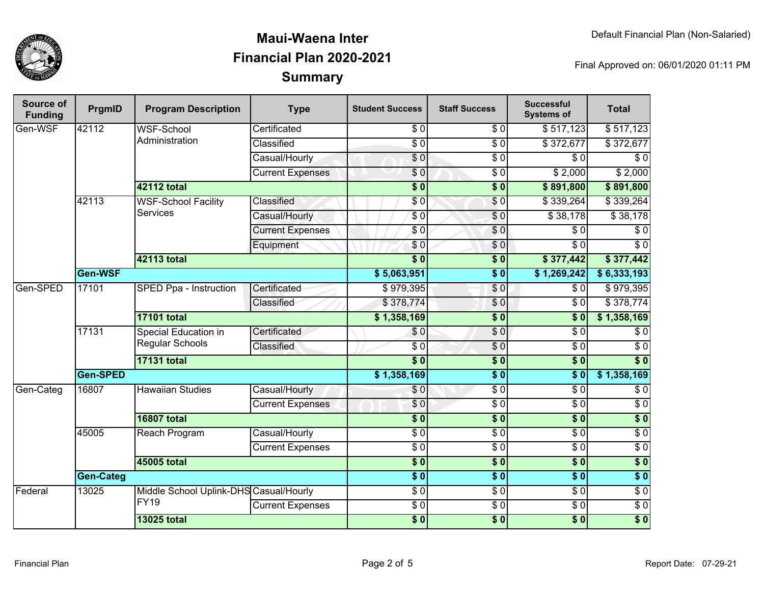

| Source of<br><b>Funding</b> | PrgmID           | <b>Program Description</b>                            | <b>Type</b>             | <b>Student Success</b> | <b>Staff Success</b> | <b>Successful</b><br><b>Systems of</b> | <b>Total</b>     |                  |
|-----------------------------|------------------|-------------------------------------------------------|-------------------------|------------------------|----------------------|----------------------------------------|------------------|------------------|
| Gen-WSF                     | 42112            | <b>WSF-School</b>                                     | Certificated            | \$0                    | \$0                  | \$517,123                              | \$517,123        |                  |
|                             |                  | Administration                                        | Classified              | $\overline{S}0$        | $\overline{60}$      | \$372,677                              | \$372,677        |                  |
|                             |                  |                                                       | Casual/Hourly           | $\overline{\$0}$       | $\overline{\$0}$     | $\overline{\$0}$                       | $\overline{\$0}$ |                  |
|                             |                  |                                                       | <b>Current Expenses</b> | \$0                    | $\sqrt{6}$           | \$2,000                                | \$2,000          |                  |
|                             |                  | <b>42112 total</b>                                    |                         | $\overline{\$0}$       | $\overline{\$0}$     | \$891,800                              | \$891,800        |                  |
|                             | 42113            | <b>WSF-School Facility</b>                            | Classified              | \$0                    | $\sqrt{0}$           | \$339,264                              | \$339,264        |                  |
|                             |                  | <b>Services</b>                                       | Casual/Hourly           | $\sqrt{6}$             | $\sqrt{6}$           | \$38,178                               | \$38,178         |                  |
|                             |                  |                                                       | <b>Current Expenses</b> | \$0                    | $\overline{\$0}$     | $\overline{30}$                        | $\overline{\$0}$ |                  |
|                             |                  |                                                       | Equipment               | \$0                    | \$0                  | $\sqrt{6}$                             | $\overline{\$0}$ |                  |
|                             |                  | <b>42113 total</b>                                    |                         | $\overline{\$0}$       | $\overline{\$0}$     | \$377,442                              | \$377,442        |                  |
|                             | Gen-WSF          |                                                       |                         | \$5,063,951            | $\overline{\$0}$     | \$1,269,242                            | \$6,333,193      |                  |
| Gen-SPED                    | 17101            | <b>SPED Ppa - Instruction</b>                         | Certificated            | \$979,395              | \$0                  | \$0                                    | \$979,395        |                  |
|                             |                  |                                                       | Classified              | \$378,774              | $\sqrt{0}$           | $\overline{30}$                        | \$378,774        |                  |
|                             |                  | <b>17101 total</b>                                    |                         | \$1,358,169            | $\overline{\$0}$     | $\overline{\$0}$                       | \$1,358,169      |                  |
|                             | 17131            | Special Education in<br>Regular Schools               | Certificated            | \$0                    | $\sqrt{0}$           | $\overline{30}$                        | $\overline{\$0}$ |                  |
|                             |                  |                                                       | Classified              | $\overline{S}0$        | $\overline{\$0}$     | $\overline{S}0$                        | $\overline{50}$  |                  |
|                             |                  | <b>17131 total</b>                                    |                         | $\overline{\$0}$       | $\overline{\$0}$     | $\overline{\$0}$                       | $\overline{\$0}$ |                  |
|                             | Gen-SPED         |                                                       |                         |                        | $\overline{\$0}$     | $\overline{\$0}$                       | \$1,358,169      |                  |
| Gen-Categ                   | 16807            | <b>Hawaiian Studies</b>                               | Casual/Hourly           | \$0                    | $\overline{60}$      | $\overline{S}0$                        | $\overline{50}$  |                  |
|                             |                  |                                                       | <b>Current Expenses</b> | \$0                    | $\sqrt{6}$           | $\overline{30}$                        | $\overline{$}0$  |                  |
|                             |                  | <b>16807 total</b>                                    |                         | $\overline{\$0}$       | $\overline{\$0}$     | $\overline{\$0}$                       | $\overline{\$0}$ |                  |
|                             | 45005            | Reach Program                                         | Casual/Hourly           | $\overline{S}0$        | $\sqrt{6}$           | $\overline{S}0$                        | $\overline{50}$  |                  |
|                             |                  |                                                       | <b>Current Expenses</b> | $\overline{\$0}$       | $\overline{\$0}$     | $\sqrt{6}$                             | $\overline{50}$  |                  |
|                             |                  | 45005 total                                           |                         | $\overline{\$0}$       | $\overline{\$0}$     | $\overline{\$0}$                       | $\overline{\$0}$ |                  |
|                             | <b>Gen-Categ</b> |                                                       |                         | $\overline{\$0}$       | $\overline{\$0}$     | $\overline{\$0}$                       | $\overline{\$0}$ |                  |
| Federal                     | 13025            | Middle School Uplink-DHS Casual/Hourly<br><b>FY19</b> |                         | $\overline{\$0}$       | $\sqrt{6}$           | $\sqrt{6}$                             | $\sqrt{6}$       |                  |
|                             |                  |                                                       | <b>Current Expenses</b> | $\overline{60}$        | $\sqrt{6}$           | $\overline{S}0$                        | $\overline{S}0$  |                  |
|                             |                  |                                                       | <b>13025 total</b>      |                        | $\overline{\$0}$     | $\overline{\$0}$                       | $\overline{\$0}$ | $\overline{\$0}$ |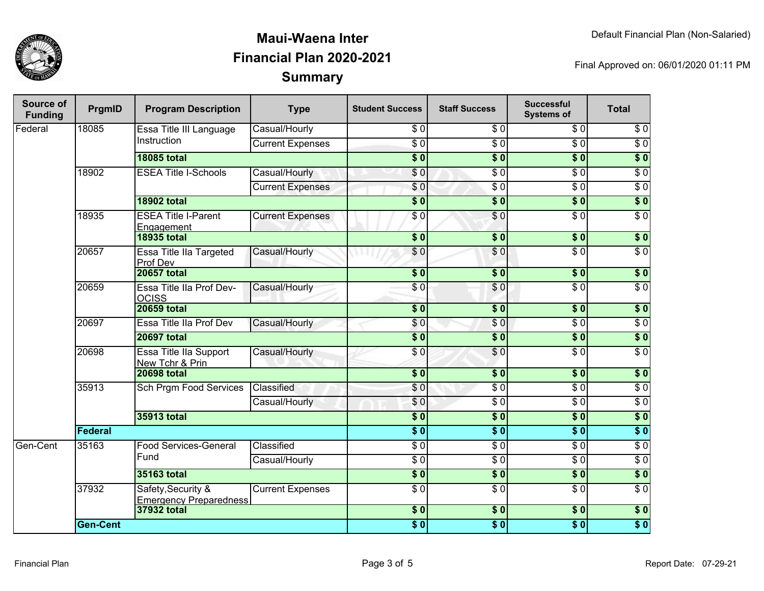

| Source of<br><b>Funding</b> | PrgmID                                        | <b>Program Description</b>                          | <b>Type</b>             | <b>Student Success</b> | <b>Staff Success</b> | <b>Successful</b><br><b>Systems of</b> | <b>Total</b>     |                  |
|-----------------------------|-----------------------------------------------|-----------------------------------------------------|-------------------------|------------------------|----------------------|----------------------------------------|------------------|------------------|
| Federal                     | 18085                                         | Essa Title III Language<br>Instruction              | Casual/Hourly           | \$0                    | \$0                  | \$0                                    | $\overline{\$0}$ |                  |
|                             |                                               |                                                     | <b>Current Expenses</b> | $\overline{60}$        | $\overline{50}$      | $\overline{30}$                        | $\overline{\$0}$ |                  |
|                             |                                               | <b>18085 total</b>                                  |                         | $\overline{\$0}$       | $\overline{\$0}$     | $\overline{\$0}$                       | $\overline{\$0}$ |                  |
|                             | 18902                                         | <b>ESEA Title I-Schools</b>                         | Casual/Hourly           | \$0                    | $\overline{50}$      | $\overline{\$0}$                       | $\overline{\$0}$ |                  |
|                             |                                               |                                                     | <b>Current Expenses</b> | \$0                    | $\overline{\$0}$     | $\overline{\$0}$                       | $\overline{\$0}$ |                  |
|                             |                                               | <b>18902 total</b>                                  |                         | $\overline{\$0}$       | $\overline{\$0}$     | $\overline{\$0}$                       | $\overline{\$0}$ |                  |
|                             | 18935                                         | <b>ESEA Title I-Parent</b><br>Engagement            | <b>Current Expenses</b> | $\overline{30}$        | \$0                  | $\overline{\$0}$                       | $\overline{S}0$  |                  |
|                             |                                               | <b>18935 total</b>                                  |                         | $\overline{\$0}$       | $\overline{\$0}$     | $\overline{\$0}$                       | $\overline{\$0}$ |                  |
|                             | 20657                                         | Essa Title IIa Targeted<br>Prof Dev                 | Casual/Hourly           | $\overline{\$}0$       | $\overline{\$0}$     | $\overline{\$0}$                       | $\overline{\$0}$ |                  |
|                             |                                               | <b>20657 total</b>                                  |                         | $\overline{\$0}$       | \$0                  | $\overline{\$0}$                       | $\overline{\$0}$ |                  |
|                             | 20659                                         | Essa Title IIa Prof Dev-<br><b>OCISS</b>            | Casual/Hourly           | \$0                    | \$0                  | $\overline{\$0}$                       | $\sqrt{6}$       |                  |
|                             |                                               | <b>20659 total</b>                                  |                         | $\overline{\$0}$       | $\sqrt{6}$           | $\overline{\$0}$                       | $\overline{\$0}$ |                  |
|                             | 20697                                         | Essa Title IIa Prof Dev                             | Casual/Hourly           | $\overline{\$}0$       | $\overline{S}0$      | $\overline{\$0}$                       | $\overline{60}$  |                  |
|                             |                                               | <b>20697 total</b>                                  |                         | $\overline{\bullet}$ 0 | $\overline{\$0}$     | $\overline{\$0}$                       | $\overline{\$0}$ |                  |
|                             | 20698                                         | Essa Title IIa Support<br>New Tchr & Prin           | Casual/Hourly           | $\sqrt{6}$             | $\overline{S}0$      | $\overline{\$0}$                       | $\overline{60}$  |                  |
|                             |                                               | <b>20698 total</b>                                  |                         | $\overline{\$0}$       | s <sub>0</sub>       | $\overline{\$0}$                       | \$0              |                  |
|                             |                                               | 35913<br><b>Sch Prgm Food Services</b>              |                         | Classified             | $\overline{\$0}$     | $\overline{\$0}$                       | $\overline{\$0}$ | $\overline{\$0}$ |
|                             |                                               |                                                     | Casual/Hourly           | \$0                    | $\overline{\$0}$     | $\overline{\$0}$                       | $\overline{\$0}$ |                  |
|                             |                                               | 35913 total                                         |                         | $\overline{\$}0$       | $\overline{\$0}$     | $\overline{\$}0$                       | $\overline{\$0}$ |                  |
|                             | Federal                                       |                                                     |                         | s <sub>0</sub>         | $\overline{\$0}$     | s <sub>0</sub>                         | $\overline{\$0}$ |                  |
| Gen-Cent                    | 35163<br><b>Food Services-General</b><br>Fund | Classified                                          | $\overline{\$0}$        | $\overline{\$0}$       | $\overline{\$0}$     | $\overline{\$0}$                       |                  |                  |
|                             |                                               |                                                     | Casual/Hourly           | $\overline{30}$        | $\overline{\$0}$     | $\overline{\$0}$                       | $\overline{\$0}$ |                  |
|                             |                                               | <b>35163 total</b>                                  |                         | $\overline{\$}0$       | $\overline{\$0}$     | $\overline{\$0}$                       | $\overline{\$0}$ |                  |
|                             | 37932                                         | Safety, Security &<br><b>Emergency Preparedness</b> | <b>Current Expenses</b> | $\overline{\$0}$       | $\overline{\$0}$     | $\overline{\$0}$                       | $\overline{\$0}$ |                  |
|                             |                                               | 37932 total                                         |                         | \$0                    | \$0                  | $\overline{\$0}$                       | \$0              |                  |
|                             | <b>Gen-Cent</b>                               |                                                     |                         | $\overline{\bullet}$   | $\overline{\$0}$     | $\overline{\$0}$                       | $\overline{\$0}$ |                  |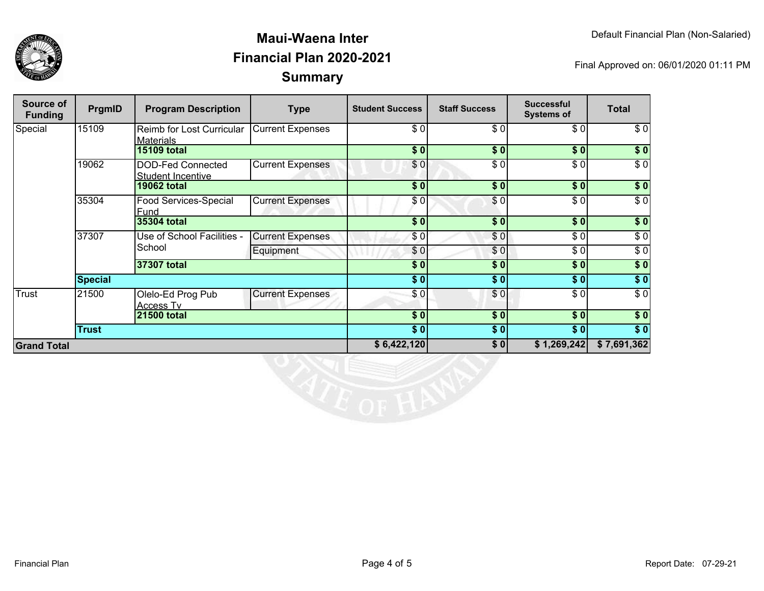

| Source of<br><b>Funding</b> | <b>PrgmID</b>  | <b>Program Description</b>                           | <b>Type</b>             | <b>Student Success</b> | <b>Staff Success</b> | <b>Successful</b><br><b>Systems of</b> | <b>Total</b>     |
|-----------------------------|----------------|------------------------------------------------------|-------------------------|------------------------|----------------------|----------------------------------------|------------------|
| Special                     | 15109          | <b>Reimb for Lost Curricular</b><br><b>Materials</b> | <b>Current Expenses</b> | \$0                    | \$0                  | \$0]                                   | \$0              |
|                             |                | <b>15109 total</b>                                   |                         | \$0                    | \$0                  | \$0                                    | \$0              |
|                             | 19062          | DOD-Fed Connected<br>Student Incentive               | <b>Current Expenses</b> | \$0                    | $\overline{\$0}$     | \$0                                    | $\overline{\$0}$ |
|                             |                | <b>19062 total</b>                                   |                         | $\sqrt{6}$             | $\overline{\$0}$     | $\overline{\$0}$                       | \$0              |
|                             | 35304          | <b>Food Services-Special</b><br><b>Fund</b>          | <b>Current Expenses</b> | \$0                    | \$0                  | \$0                                    | $\sqrt{6}$       |
|                             |                | 35304 total                                          |                         | \$0                    | \$0                  | \$0                                    | $\overline{\$}0$ |
|                             | 37307          | Use of School Facilities -<br>School                 | <b>Current Expenses</b> | \$0                    | \$0                  | \$0                                    | \$0              |
|                             |                |                                                      | Equipment               | \$0                    | \$0                  | \$0                                    | $\sqrt{6}$       |
|                             |                | 37307 total                                          |                         | \$0                    | \$0                  | \$0                                    | $\sqrt{50}$      |
|                             | <b>Special</b> |                                                      | $\overline{\$0}$        | \$0                    | \$0                  | $\sqrt{50}$                            |                  |
| <b>Trust</b>                | 21500          | Olelo-Ed Prog Pub<br><b>Access Tv</b>                | <b>Current Expenses</b> | \$0                    | \$0                  | \$0]                                   | $\sqrt{6}$       |
|                             |                | <b>21500 total</b>                                   |                         | \$0                    | \$0                  | \$0                                    | \$0              |
|                             | <b>Trust</b>   |                                                      |                         | \$0                    | \$0]                 | \$0                                    | \$0              |
| <b>Grand Total</b>          |                |                                                      |                         | \$6,422,120            | \$0                  | \$1,269,242                            | \$7,691,362      |